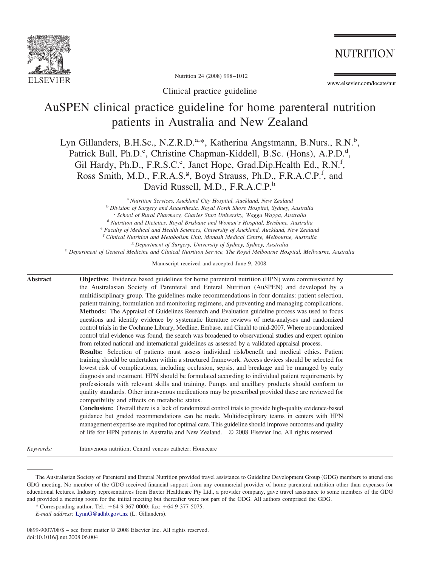

Nutrition 24 (2008) 998 –1012

Clinical practice guideline

www.elsevier.com/locate/nut

**NUTRITION** 

# AuSPEN clinical practice guideline for home parenteral nutrition patients in Australia and New Zealand

Lyn Gillanders, B.H.Sc., N.Z.R.D.<sup>a,\*</sup>, Katherina Angstmann, B.Nurs., R.N.<sup>b</sup>, Patrick Ball, Ph.D.<sup>c</sup>, Christine Chapman-Kiddell, B.Sc. (Hons), A.P.D.<sup>d</sup>, Gil Hardy, Ph.D., F.R.S.C.<sup>e</sup>, Janet Hope, Grad.Dip.Health Ed., R.N.<sup>f</sup>, Ross Smith, M.D., F.R.A.S.<sup>g</sup>, Boyd Strauss, Ph.D., F.R.A.C.P.<sup>f</sup>, and David Russell, M.D., F.R.A.C.P.<sup>h</sup>

> <sup>a</sup> *Nutrition Services, Auckland City Hospital, Auckland, New Zealand* <sup>b</sup> *Division of Surgery and Anaesthesia, Royal North Shore Hospital, Sydney, Australia*

<sup>c</sup> *School of Rural Pharmacy, Charles Sturt University, Wagga Wagga, Australia*

<sup>d</sup> *Nutrition and Dietetics, Royal Brisbane and Woman's Hospital, Brisbane, Australia*

<sup>e</sup> *Faculty of Medical and Health Sciences, University of Auckland, Auckland, New Zealand*

<sup>f</sup> *Clinical Nutrition and Metabolism Unit, Monash Medical Centre, Melbourne, Australia*

<sup>g</sup> *Department of Surgery, University of Sydney, Sydney, Australia*

<sup>h</sup> *Department of General Medicine and Clinical Nutrition Service, The Royal Melbourne Hospital, Melbourne, Australia*

Manuscript received and accepted June 9, 2008.

**Abstract Objective:** Evidence based guidelines for home parenteral nutrition (HPN) were commissioned by the Australasian Society of Parenteral and Enteral Nutrition (AuSPEN) and developed by a multidisciplinary group. The guidelines make recommendations in four domains: patient selection, patient training, formulation and monitoring regimens, and preventing and managing complications. **Methods:** The Appraisal of Guidelines Research and Evaluation guideline process was used to focus questions and identify evidence by systematic literature reviews of meta-analyses and randomized control trials in the Cochrane Library, Medline, Embase, and Cinahl to mid-2007. Where no randomized control trial evidence was found, the search was broadened to observational studies and expert opinion from related national and international guidelines as assessed by a validated appraisal process.

> **Results:** Selection of patients must assess individual risk/benefit and medical ethics. Patient training should be undertaken within a structured framework. Access devices should be selected for lowest risk of complications, including occlusion, sepsis, and breakage and be managed by early diagnosis and treatment. HPN should be formulated according to individual patient requirements by professionals with relevant skills and training. Pumps and ancillary products should conform to quality standards. Other intravenous medications may be prescribed provided these are reviewed for compatibility and effects on metabolic status.

> **Conclusion:** Overall there is a lack of randomized control trials to provide high-quality evidence-based guidance but graded recommendations can be made. Multidisciplinary teams in centers with HPN management expertise are required for optimal care. This guideline should improve outcomes and quality of life for HPN patients in Australia and New Zealand. © 2008 Elsevier Inc. All rights reserved.

*Keywords:* Intravenous nutrition; Central venous catheter; Homecare

The Australasian Society of Parenteral and Enteral Nutrition provided travel assistance to Guideline Development Group (GDG) members to attend one GDG meeting. No member of the GDG received financial support from any commercial provider of home parenteral nutrition other than expenses for educational lectures. Industry representatives from Baxter Healthcare Pty Ltd., a provider company, gave travel assistance to some members of the GDG and provided a meeting room for the initial meeting but thereafter were not part of the GDG. All authors comprised the GDG.

\* Corresponding author. Tel.:  $+64-9-367-0000$ ; fax:  $+64-9-377-5075$ .

*E-mail address:* [LynnG@adhb.govt.nz](mailto:LynnG@adhb.govt.nz) (L. Gillanders).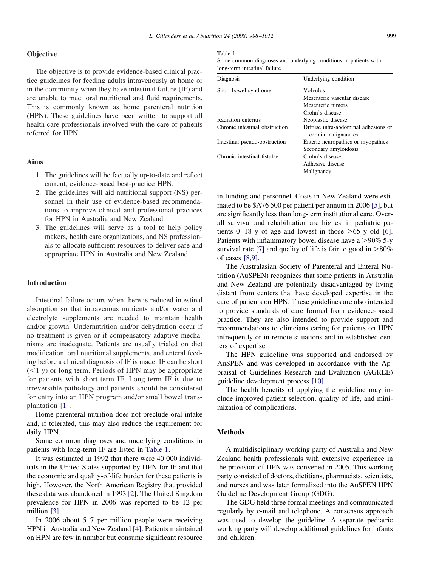# **Objective**

The objective is to provide evidence-based clinical practice guidelines for feeding adults intravenously at home or in the community when they have intestinal failure (IF) and are unable to meet oral nutritional and fluid requirements. This is commonly known as home parenteral nutrition (HPN). These guidelines have been written to support all health care professionals involved with the care of patients referred for HPN.

#### **Aims**

- 1. The guidelines will be factually up-to-date and reflect current, evidence-based best-practice HPN.
- 2. The guidelines will aid nutritional support (NS) personnel in their use of evidence-based recommendations to improve clinical and professional practices for HPN in Australia and New Zealand.
- 3. The guidelines will serve as a tool to help policy makers, health care organizations, and NS professionals to allocate sufficient resources to deliver safe and appropriate HPN in Australia and New Zealand.

## **Introduction**

Intestinal failure occurs when there is reduced intestinal absorption so that intravenous nutrients and/or water and electrolyte supplements are needed to maintain health and/or growth. Undernutrition and/or dehydration occur if no treatment is given or if compensatory adaptive mechanisms are inadequate. Patients are usually trialed on diet modification, oral nutritional supplements, and enteral feeding before a clinical diagnosis of IF is made. IF can be short  $(< 1 y)$  or long term. Periods of HPN may be appropriate for patients with short-term IF. Long-term IF is due to irreversible pathology and patients should be considered for entry into an HPN program and/or small bowel transplantation [\[1\].](#page-12-0)

Home parenteral nutrition does not preclude oral intake and, if tolerated, this may also reduce the requirement for daily HPN.

Some common diagnoses and underlying conditions in patients with long-term IF are listed in Table 1.

It was estimated in 1992 that there were 40 000 individuals in the United States supported by HPN for IF and that the economic and quality-of-life burden for these patients is high. However, the North American Registry that provided these data was abandoned in 1993 [\[2\].](#page-12-0) The United Kingdom prevalence for HPN in 2006 was reported to be 12 per million [\[3\].](#page-12-0)

In 2006 about 5–7 per million people were receiving HPN in Australia and New Zealand [\[4\].](#page-12-0) Patients maintained on HPN are few in number but consume significant resource

| Table<br>M.<br>٠<br>× |  |
|-----------------------|--|
|                       |  |

|  |                              | Some common diagnoses and underlying conditions in patients with |  |  |
|--|------------------------------|------------------------------------------------------------------|--|--|
|  | long-term intestinal failure |                                                                  |  |  |

| Diagnosis                      | Underlying condition                                         |
|--------------------------------|--------------------------------------------------------------|
| Short bowel syndrome           | Volvulus                                                     |
|                                | Mesenteric vascular disease                                  |
|                                | Mesenteric tumors                                            |
|                                | Crohn's disease                                              |
| Radiation enteritis            | Neoplastic disease                                           |
| Chronic intestinal obstruction | Diffuse intra-abdominal adhesions or<br>certain malignancies |
| Intestinal pseudo-obstruction  | Enteric neuropathies or myopathies                           |
|                                | Secondary amyloidosis                                        |
| Chronic intestinal fistulae    | Crohn's disease                                              |
|                                | Adhesive disease                                             |
|                                | Malignancy                                                   |

in funding and personnel. Costs in New Zealand were estimated to be \$A76 500 per patient per annum in 2006 [\[5\],](#page-12-0) but are significantly less than long-term institutional care. Overall survival and rehabilitation are highest in pediatric patients  $0-18$  y of age and lowest in those  $>65$  y old [\[6\].](#page-12-0) Patients with inflammatory bowel disease have a  $>90\%$  5-y survival rate [\[7\]](#page-12-0) and quality of life is fair to good in  $>80\%$ of cases [\[8,9\].](#page-12-0)

The Australasian Society of Parenteral and Enteral Nutrition (AuSPEN) recognizes that some patients in Australia and New Zealand are potentially disadvantaged by living distant from centers that have developed expertise in the care of patients on HPN. These guidelines are also intended to provide standards of care formed from evidence-based practice. They are also intended to provide support and recommendations to clinicians caring for patients on HPN infrequently or in remote situations and in established centers of expertise.

The HPN guideline was supported and endorsed by AuSPEN and was developed in accordance with the Appraisal of Guidelines Research and Evaluation (AGREE) guideline development process [\[10\].](#page-12-0)

The health benefits of applying the guideline may include improved patient selection, quality of life, and minimization of complications.

## **Methods**

A multidisciplinary working party of Australia and New Zealand health professionals with extensive experience in the provision of HPN was convened in 2005. This working party consisted of doctors, dietitians, pharmacists, scientists, and nurses and was later formalized into the AuSPEN HPN Guideline Development Group (GDG).

The GDG held three formal meetings and communicated regularly by e-mail and telephone. A consensus approach was used to develop the guideline. A separate pediatric working party will develop additional guidelines for infants and children.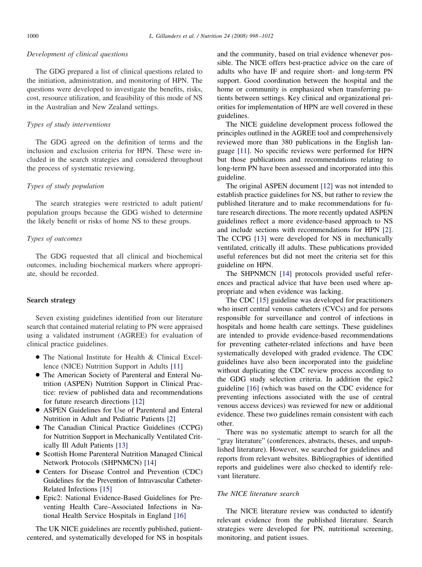# *Development of clinical questions*

The GDG prepared a list of clinical questions related to the initiation, administration, and monitoring of HPN. The questions were developed to investigate the benefits, risks, cost, resource utilization, and feasibility of this mode of NS in the Australian and New Zealand settings.

# *Types of study interventions*

The GDG agreed on the definition of terms and the inclusion and exclusion criteria for HPN. These were included in the search strategies and considered throughout the process of systematic reviewing.

# *Types of study population*

The search strategies were restricted to adult patient/ population groups because the GDG wished to determine the likely benefit or risks of home NS to these groups.

#### *Types of outcomes*

The GDG requested that all clinical and biochemical outcomes, including biochemical markers where appropriate, should be recorded.

# **Search strategy**

Seven existing guidelines identified from our literature search that contained material relating to PN were appraised using a validated instrument (AGREE) for evaluation of clinical practice guidelines.

- The National Institute for Health & Clinical Excellence (NICE) Nutrition Support in Adults [\[11\]](#page-12-0)
- The American Society of Parenteral and Enteral Nutrition (ASPEN) Nutrition Support in Clinical Practice: review of published data and recommendations for future research directions [\[12\]](#page-12-0)
- ASPEN Guidelines for Use of Parenteral and Enteral Nutrition in Adult and Pediatric Patients [\[2\]](#page-12-0)
- The Canadian Clinical Practice Guidelines (CCPG) for Nutrition Support in Mechanically Ventilated Critically Ill Adult Patients [\[13\]](#page-13-0)
- Scottish Home Parenteral Nutrition Managed Clinical Network Protocols (SHPNMCN) [\[14\]](#page-13-0)
- Centers for Disease Control and Prevention (CDC) Guidelines for the Prevention of Intravascular Catheter-Related Infections [\[15\]](#page-13-0)
- Epic2: National Evidence-Based Guidelines for Preventing Health Care–Associated Infections in National Health Service Hospitals in England [\[16\]](#page-13-0)

The UK NICE guidelines are recently published, patientcentered, and systematically developed for NS in hospitals and the community, based on trial evidence whenever possible. The NICE offers best-practice advice on the care of adults who have IF and require short- and long-term PN support. Good coordination between the hospital and the home or community is emphasized when transferring patients between settings. Key clinical and organizational priorities for implementation of HPN are well covered in these guidelines.

The NICE guideline development process followed the principles outlined in the AGREE tool and comprehensively reviewed more than 380 publications in the English language [\[11\].](#page-12-0) No specific reviews were performed for HPN but those publications and recommendations relating to long-term PN have been assessed and incorporated into this guideline.

The original ASPEN document [\[12\]](#page-12-0) was not intended to establish practice guidelines for NS, but rather to review the published literature and to make recommendations for future research directions. The more recently updated ASPEN guidelines reflect a more evidence-based approach to NS and include sections with recommendations for HPN [\[2\].](#page-12-0) The CCPG [\[13\]](#page-13-0) were developed for NS in mechanically ventilated, critically ill adults. These publications provided useful references but did not meet the criteria set for this guideline on HPN.

The SHPNMCN [\[14\]](#page-13-0) protocols provided useful references and practical advice that have been used where appropriate and when evidence was lacking.

The CDC [\[15\]](#page-13-0) guideline was developed for practitioners who insert central venous catheters (CVCs) and for persons responsible for surveillance and control of infections in hospitals and home health care settings. These guidelines are intended to provide evidence-based recommendations for preventing catheter-related infections and have been systematically developed with graded evidence. The CDC guidelines have also been incorporated into the guideline without duplicating the CDC review process according to the GDG study selection criteria. In addition the epic2 guideline [\[16\]](#page-13-0) (which was based on the CDC evidence for preventing infections associated with the use of central venous access devices) was reviewed for new or additional evidence. These two guidelines remain consistent with each other.

There was no systematic attempt to search for all the "gray literature" (conferences, abstracts, theses, and unpublished literature). However, we searched for guidelines and reports from relevant websites. Bibliographies of identified reports and guidelines were also checked to identify relevant literature.

# *The NICE literature search*

The NICE literature review was conducted to identify relevant evidence from the published literature. Search strategies were developed for PN, nutritional screening, monitoring, and patient issues.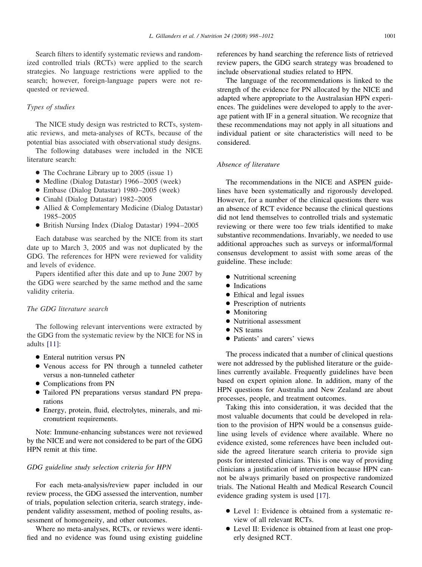Search filters to identify systematic reviews and randomized controlled trials (RCTs) were applied to the search strategies. No language restrictions were applied to the search; however, foreign-language papers were not requested or reviewed.

#### *Types of studies*

The NICE study design was restricted to RCTs, systematic reviews, and meta-analyses of RCTs, because of the potential bias associated with observational study designs.

The following databases were included in the NICE literature search:

- The Cochrane Library up to 2005 (issue 1)
- Medline (Dialog Datastar) 1966 –2005 (week)
- Embase (Dialog Datastar) 1980 –2005 (week)
- Cinahl (Dialog Datastar) 1982–2005
- Allied & Complementary Medicine (Dialog Datastar) 1985–2005
- British Nursing Index (Dialog Datastar) 1994 –2005

Each database was searched by the NICE from its start date up to March 3, 2005 and was not duplicated by the GDG. The references for HPN were reviewed for validity and levels of evidence.

Papers identified after this date and up to June 2007 by the GDG were searched by the same method and the same validity criteria.

# *The GDG literature search*

The following relevant interventions were extracted by the GDG from the systematic review by the NICE for NS in adults [\[11\]:](#page-12-0)

- Enteral nutrition versus PN
- Venous access for PN through a tunneled catheter versus a non-tunneled catheter
- Complications from PN
- Tailored PN preparations versus standard PN preparations
- Energy, protein, fluid, electrolytes, minerals, and micronutrient requirements.

Note: Immune-enhancing substances were not reviewed by the NICE and were not considered to be part of the GDG HPN remit at this time.

## *GDG guideline study selection criteria for HPN*

For each meta-analysis/review paper included in our review process, the GDG assessed the intervention, number of trials, population selection criteria, search strategy, independent validity assessment, method of pooling results, assessment of homogeneity, and other outcomes.

Where no meta-analyses, RCTs, or reviews were identified and no evidence was found using existing guideline references by hand searching the reference lists of retrieved review papers, the GDG search strategy was broadened to include observational studies related to HPN.

The language of the recommendations is linked to the strength of the evidence for PN allocated by the NICE and adapted where appropriate to the Australasian HPN experiences. The guidelines were developed to apply to the average patient with IF in a general situation. We recognize that these recommendations may not apply in all situations and individual patient or site characteristics will need to be considered.

#### *Absence of literature*

The recommendations in the NICE and ASPEN guidelines have been systematically and rigorously developed. However, for a number of the clinical questions there was an absence of RCT evidence because the clinical questions did not lend themselves to controlled trials and systematic reviewing or there were too few trials identified to make substantive recommendations. Invariably, we needed to use additional approaches such as surveys or informal/formal consensus development to assist with some areas of the guideline. These include:

- Nutritional screening
- Indications
- Ethical and legal issues
- Prescription of nutrients
- Monitoring
- Nutritional assessment
- NS teams
- Patients' and carers' views

The process indicated that a number of clinical questions were not addressed by the published literature or the guidelines currently available. Frequently guidelines have been based on expert opinion alone. In addition, many of the HPN questions for Australia and New Zealand are about processes, people, and treatment outcomes.

Taking this into consideration, it was decided that the most valuable documents that could be developed in relation to the provision of HPN would be a consensus guideline using levels of evidence where available. Where no evidence existed, some references have been included outside the agreed literature search criteria to provide sign posts for interested clinicians. This is one way of providing clinicians a justification of intervention because HPN cannot be always primarily based on prospective randomized trials. The National Health and Medical Research Council evidence grading system is used [\[17\].](#page-13-0)

- Level 1: Evidence is obtained from a systematic review of all relevant RCTs.
- Level II: Evidence is obtained from at least one properly designed RCT.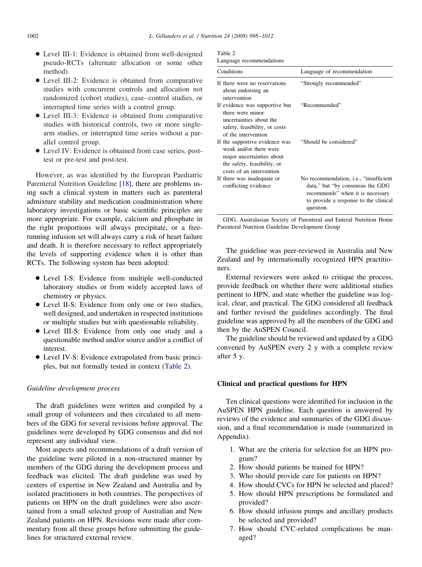- Level III-1: Evidence is obtained from well-designed pseudo-RCTs (alternate allocation or some other method).
- Level III-2: Evidence is obtained from comparative studies with concurrent controls and allocation not randomized (cohort studies), case– control studies, or interrupted time series with a control group.
- Level III-3: Evidence is obtained from comparative studies with historical controls, two or more singlearm studies, or interrupted time series without a parallel control group.
- Level IV: Evidence is obtained from case series, posttest or pre-test and post-test.

However, as was identified by the European Paediatric Parenteral Nutrition Guideline [\[18\],](#page-13-0) there are problems using such a clinical system in matters such as parenteral admixture stability and medication coadministration where laboratory investigations or basic scientific principles are more appropriate. For example, calcium and phosphate in the right proportions will always precipitate, or a freerunning infusion set will always carry a risk of heart failure and death. It is therefore necessary to reflect appropriately the levels of supporting evidence when it is other than RCTs. The following system has been adopted:

- Level I-S: Evidence from multiple well-conducted laboratory studies or from widely accepted laws of chemistry or physics.
- Level II-S: Evidence from only one or two studies, well designed, and undertaken in respected institutions or multiple studies but with questionable reliability.
- Level III-S: Evidence from only one study and a questionable method and/or source and/or a conflict of interest.
- Level IV-S: Evidence extrapolated from basic principles, but not formally tested in context (Table 2).

# *Guideline development process*

The draft guidelines were written and compiled by a small group of volunteers and then circulated to all members of the GDG for several revisions before approval. The guidelines were developed by GDG consensus and did not represent any individual view.

Most aspects and recommendations of a draft version of the guideline were piloted in a non-structured manner by members of the GDG during the development process and feedback was elicited. The draft guideline was used by centers of expertise in New Zealand and Australia and by isolated practitioners in both countries. The perspectives of patients on HPN on the draft guidelines were also ascertained from a small selected group of Australian and New Zealand patients on HPN. Revisions were made after commentary from all these groups before submitting the guidelines for structured external review.

| Table 2 |                          |
|---------|--------------------------|
|         | Language recommendations |

| Conditions                                                                                                                                       | Language of recommendation                                                                                                                                                    |
|--------------------------------------------------------------------------------------------------------------------------------------------------|-------------------------------------------------------------------------------------------------------------------------------------------------------------------------------|
| If there were no reservations<br>about endorsing an<br>intervention                                                                              | "Strongly recommended"                                                                                                                                                        |
| If evidence was supportive but<br>there were minor<br>uncertainties about the<br>safety, feasibility, or costs<br>of the intervention            | "Recommended"                                                                                                                                                                 |
| If the supportive evidence was<br>weak and/or there were<br>major uncertainties about<br>the safety, feasibility, or<br>costs of an intervention | "Should be considered"                                                                                                                                                        |
| If there was inadequate or<br>conflicting evidence                                                                                               | No recommendation, <i>i.e.</i> , "insufficient"<br>data," but "by consensus the GDG<br>recommends" when it is necessary<br>to provide a response to the clinical<br>question. |

GDG, Australasian Society of Parenteral and Enteral Nutrition Home Parenteral Nutrition Guideline Development Group

The guideline was peer-reviewed in Australia and New Zealand and by internationally recognized HPN practitioners.

External reviewers were asked to critique the process, provide feedback on whether there were additional studies pertinent to HPN, and state whether the guideline was logical, clear, and practical. The GDG considered all feedback and further revised the guidelines accordingly. The final guideline was approved by all the members of the GDG and then by the AuSPEN Council.

The guideline should be reviewed and updated by a GDG convened by AuSPEN every 2 y with a complete review after 5 y.

#### **Clinical and practical questions for HPN**

Ten clinical questions were identified for inclusion in the AuSPEN HPN guideline. Each question is answered by reviews of the evidence and summaries of the GDG discussion, and a final recommendation is made (summarized in Appendix).

- 1. What are the criteria for selection for an HPN program?
- 2. How should patients be trained for HPN?
- 3. Who should provide care for patients on HPN?
- 4. How should CVCs for HPN be selected and placed?
- 5. How should HPN prescriptions be formulated and provided?
- 6. How should infusion pumps and ancillary products be selected and provided?
- 7. How should CVC-related complications be managed?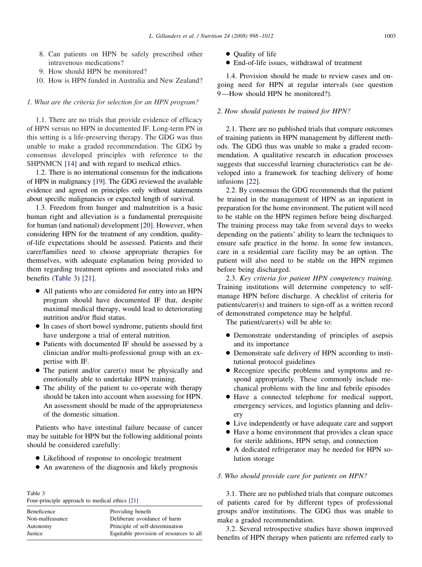- 8. Can patients on HPN be safely prescribed other intravenous medications?
- 9. How should HPN be monitored?
- 10. How is HPN funded in Australia and New Zealand?

#### *1. What are the criteria for selection for an HPN program?*

1.1. There are no trials that provide evidence of efficacy of HPN versus no HPN in documented IF. Long-term PN in this setting is a life-preserving therapy. The GDG was thus unable to make a graded recommendation. The GDG by consensus developed principles with reference to the SHPNMCN [\[14\]](#page-13-0) and with regard to medical ethics.

1.2. There is no international consensus for the indications of HPN in malignancy [\[19\].](#page-13-0) The GDG reviewed the available evidence and agreed on principles only without statements about specific malignancies or expected length of survival.

1.3. Freedom from hunger and malnutrition is a basic human right and alleviation is a fundamental prerequisite for human (and national) development [\[20\].](#page-13-0) However, when considering HPN for the treatment of any condition, qualityof-life expectations should be assessed. Patients and their carer/families need to choose appropriate therapies for themselves, with adequate explanation being provided to them regarding treatment options and associated risks and benefits (Table 3) [\[21\].](#page-13-0)

- All patients who are considered for entry into an HPN program should have documented IF that, despite maximal medical therapy, would lead to deteriorating nutrition and/or fluid status.
- In cases of short bowel syndrome, patients should first have undergone a trial of enteral nutrition.
- Patients with documented IF should be assessed by a clinician and/or multi-professional group with an expertise with IF.
- The patient and/or carer(s) must be physically and emotionally able to undertake HPN training.
- The ability of the patient to co-operate with therapy should be taken into account when assessing for HPN. An assessment should be made of the appropriateness of the domestic situation.

Patients who have intestinal failure because of cancer may be suitable for HPN but the following additional points should be considered carefully:

- Likelihood of response to oncologic treatment
- An awareness of the diagnosis and likely prognosis

Table 3 Four-principle approach to medical ethics [\[21\]](#page-13-0)

| Beneficence     | Providing benefit                       |
|-----------------|-----------------------------------------|
| Non-malfeasance | Deliberate avoidance of harm            |
| Autonomy        | Principle of self-determination         |
| Justice         | Equitable provision of resources to all |

- Quality of life
- End-of-life issues, withdrawal of treatment

1.4. Provision should be made to review cases and ongoing need for HPN at regular intervals (see question 9—How should HPN be monitored?).

#### *2. How should patients be trained for HPN?*

2.1. There are no published trials that compare outcomes of training patients in HPN management by different methods. The GDG thus was unable to make a graded recommendation. A qualitative research in education processes suggests that successful learning characteristics can be developed into a framework for teaching delivery of home infusions [\[22\].](#page-13-0)

2.2. By consensus the GDG recommends that the patient be trained in the management of HPN as an inpatient in preparation for the home environment. The patient will need to be stable on the HPN regimen before being discharged. The training process may take from several days to weeks depending on the patients' ability to learn the techniques to ensure safe practice in the home. In some few instances, care in a residential care facility may be an option. The patient will also need to be stable on the HPN regimen before being discharged.

2.3. *Key criteria for patient HPN competency training.* Training institutions will determine competency to selfmanage HPN before discharge. A checklist of criteria for patients/carer(s) and trainers to sign-off as a written record of demonstrated competence may be helpful.

The patient/carer(s) will be able to:

- Demonstrate understanding of principles of asepsis and its importance
- Demonstrate safe delivery of HPN according to institutional protocol guidelines
- Recognize specific problems and symptoms and respond appropriately. These commonly include mechanical problems with the line and febrile episodes
- Have a connected telephone for medical support, emergency services, and logistics planning and delivery
- Live independently or have adequate care and support
- Have a home environment that provides a clean space for sterile additions, HPN setup, and connection
- A dedicated refrigerator may be needed for HPN solution storage

#### *3. Who should provide care for patients on HPN?*

3.1. There are no published trials that compare outcomes of patients cared for by different types of professional groups and/or institutions. The GDG thus was unable to make a graded recommendation.

3.2. Several retrospective studies have shown improved benefits of HPN therapy when patients are referred early to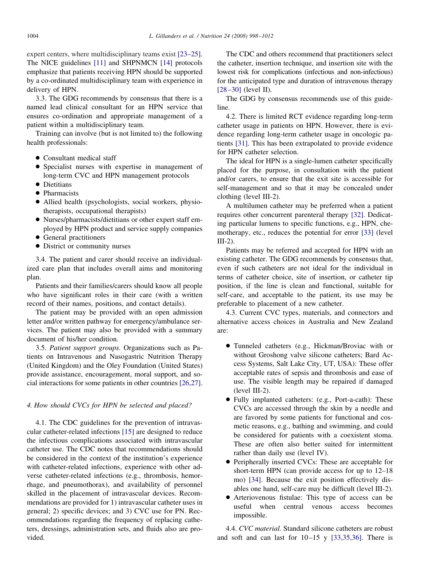expert centers, where multidisciplinary teams exist [\[23–25\].](#page-13-0) The NICE guidelines [\[11\]](#page-12-0) and SHPNMCN [\[14\]](#page-13-0) protocols emphasize that patients receiving HPN should be supported by a co-ordinated multidisciplinary team with experience in delivery of HPN.

3.3. The GDG recommends by consensus that there is a named lead clinical consultant for an HPN service that ensures co-ordination and appropriate management of a patient within a multidisciplinary team.

Training can involve (but is not limited to) the following health professionals:

- Consultant medical staff
- Specialist nurses with expertise in management of long-term CVC and HPN management protocols
- Dietitians
- Pharmacists
- Allied health (psychologists, social workers, physiotherapists, occupational therapists)
- Nurses/pharmacists/dietitians or other expert staff employed by HPN product and service supply companies
- General practitioners
- District or community nurses

3.4. The patient and carer should receive an individualized care plan that includes overall aims and monitoring plan.

Patients and their families/carers should know all people who have significant roles in their care (with a written record of their names, positions, and contact details).

The patient may be provided with an open admission letter and/or written pathway for emergency/ambulance services. The patient may also be provided with a summary document of his/her condition.

3.5. *Patient support groups.* Organizations such as Patients on Intravenous and Nasogastric Nutrition Therapy (United Kingdom) and the Oley Foundation (United States) provide assistance, encouragement, moral support, and social interactions for some patients in other countries [\[26,27\].](#page-13-0)

## *4. How should CVCs for HPN be selected and placed?*

4.1. The CDC guidelines for the prevention of intravascular catheter-related infections [\[15\]](#page-13-0) are designed to reduce the infectious complications associated with intravascular catheter use. The CDC notes that recommendations should be considered in the context of the institution's experience with catheter-related infections, experience with other adverse catheter-related infections (e.g., thrombosis, hemorrhage, and pneumothorax), and availability of personnel skilled in the placement of intravascular devices. Recommendations are provided for 1) intravascular catheter uses in general; 2) specific devices; and 3) CVC use for PN. Recommendations regarding the frequency of replacing catheters, dressings, administration sets, and fluids also are provided.

The CDC and others recommend that practitioners select the catheter, insertion technique, and insertion site with the lowest risk for complications (infectious and non-infectious) for the anticipated type and duration of intravenous therapy [28–30] (level II).

The GDG by consensus recommends use of this guideline.

4.2. There is limited RCT evidence regarding long-term catheter usage in patients on HPN. However, there is evidence regarding long-term catheter usage in oncologic patients [\[31\].](#page-13-0) This has been extrapolated to provide evidence for HPN catheter selection.

The ideal for HPN is a single-lumen catheter specifically placed for the purpose, in consultation with the patient and/or carers, to ensure that the exit site is accessible for self-management and so that it may be concealed under clothing (level III-2).

A multilumen catheter may be preferred when a patient requires other concurrent parenteral therapy [\[32\].](#page-13-0) Dedicating particular lumens to specific functions, e.g., HPN, chemotherapy, etc., reduces the potential for error [\[33\]](#page-13-0) (level III-2).

Patients may be referred and accepted for HPN with an existing catheter. The GDG recommends by consensus that, even if such catheters are not ideal for the individual in terms of catheter choice, site of insertion, or catheter tip position, if the line is clean and functional, suitable for self-care, and acceptable to the patient, its use may be preferable to placement of a new catheter.

4.3. Current CVC types, materials, and connectors and alternative access choices in Australia and New Zealand are:

- Tunneled catheters (e.g., Hickman/Broviac with or without Groshong valve silicone catheters; Bard Access Systems, Salt Lake City, UT, USA): These offer acceptable rates of sepsis and thrombosis and ease of use. The visible length may be repaired if damaged (level III-2).
- Fully implanted catheters: (e.g., Port-a-cath): These CVCs are accessed through the skin by a needle and are favored by some patients for functional and cosmetic reasons, e.g., bathing and swimming, and could be considered for patients with a coexistent stoma. These are often also better suited for intermittent rather than daily use (level IV).
- Peripherally inserted CVCs: These are acceptable for short-term HPN (can provide access for up to 12–18 mo) [\[34\].](#page-13-0) Because the exit position effectively disables one hand, self-care may be difficult (level III-2).
- Arteriovenous fistulae: This type of access can be useful when central venous access becomes impossible.

4.4. *CVC material.* Standard silicone catheters are robust and soft and can last for  $10-15$  y  $[33,35,36]$ . There is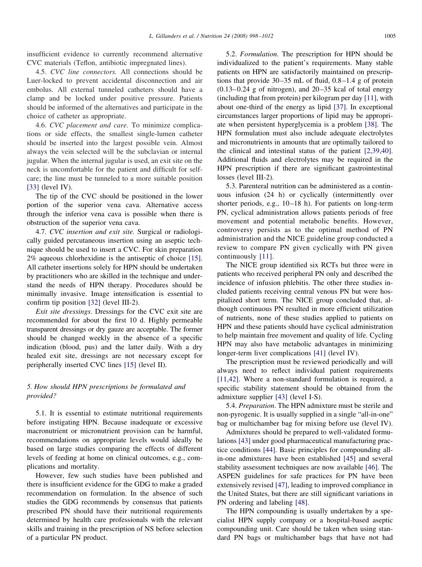insufficient evidence to currently recommend alternative CVC materials (Teflon, antibiotic impregnated lines).

4.5. *CVC line connectors.* All connections should be Luer-locked to prevent accidental disconnection and air embolus. All external tunneled catheters should have a clamp and be locked under positive pressure. Patients should be informed of the alternatives and participate in the choice of catheter as appropriate.

4.6. *CVC placement and care.* To minimize complications or side effects, the smallest single-lumen catheter should be inserted into the largest possible vein. Almost always the vein selected will be the subclavian or internal jugular. When the internal jugular is used, an exit site on the neck is uncomfortable for the patient and difficult for selfcare; the line must be tunneled to a more suitable position  $[33]$  (level IV).

The tip of the CVC should be positioned in the lower portion of the superior vena cava. Alternative access through the inferior vena cava is possible when there is obstruction of the superior vena cava.

4.7. *CVC insertion and exit site.* Surgical or radiologically guided percutaneous insertion using an aseptic technique should be used to insert a CVC. For skin preparation 2% aqueous chlorhexidine is the antiseptic of choice [\[15\].](#page-13-0) All catheter insertions solely for HPN should be undertaken by practitioners who are skilled in the technique and understand the needs of HPN therapy. Procedures should be minimally invasive. Image intensification is essential to confirm tip position [\[32\]](#page-13-0) (level III-2).

*Exit site dressings.* Dressings for the CVC exit site are recommended for about the first 10 d. Highly permeable transparent dressings or dry gauze are acceptable. The former should be changed weekly in the absence of a specific indication (blood, pus) and the latter daily. With a dry healed exit site, dressings are not necessary except for peripherally inserted CVC lines [\[15\]](#page-13-0) (level II).

# *5. How should HPN prescriptions be formulated and provided?*

5.1. It is essential to estimate nutritional requirements before instigating HPN. Because inadequate or excessive macronutrient or micronutrient provision can be harmful, recommendations on appropriate levels would ideally be based on large studies comparing the effects of different levels of feeding at home on clinical outcomes, e.g., complications and mortality.

However, few such studies have been published and there is insufficient evidence for the GDG to make a graded recommendation on formulation. In the absence of such studies the GDG recommends by consensus that patients prescribed PN should have their nutritional requirements determined by health care professionals with the relevant skills and training in the prescription of NS before selection of a particular PN product.

5.2. *Formulation*. The prescription for HPN should be individualized to the patient's requirements. Many stable patients on HPN are satisfactorily maintained on prescriptions that provide 30 –35 mL of fluid, 0.8 –1.4 g of protein  $(0.13-0.24 \text{ g of nitrogen})$ , and  $20-35 \text{ kcal of total energy}$ (including that from protein) per kilogram per day [\[11\],](#page-12-0) with about one-third of the energy as lipid [\[37\].](#page-13-0) In exceptional circumstances larger proportions of lipid may be appropriate when persistent hyperglycemia is a problem [\[38\].](#page-13-0) The HPN formulation must also include adequate electrolytes and micronutrients in amounts that are optimally tailored to the clinical and intestinal status of the patient [\[2,39,40\].](#page-12-0) Additional fluids and electrolytes may be required in the HPN prescription if there are significant gastrointestinal losses (level III-2).

5.3. Parenteral nutrition can be administered as a continuous infusion (24 h) or cyclically (intermittently over shorter periods, e.g., 10–18 h). For patients on long-term PN, cyclical administration allows patients periods of free movement and potential metabolic benefits. However, controversy persists as to the optimal method of PN administration and the NICE guideline group conducted a review to compare PN given cyclically with PN given continuously [\[11\].](#page-12-0)

The NICE group identified six RCTs but three were in patients who received peripheral PN only and described the incidence of infusion phlebitis. The other three studies included patients receiving central venous PN but were hospitalized short term. The NICE group concluded that, although continuous PN resulted in more efficient utilization of nutrients, none of these studies applied to patients on HPN and these patients should have cyclical administration to help maintain free movement and quality of life. Cycling HPN may also have metabolic advantages in minimizing longer-term liver complications [\[41\]](#page-13-0) (level IV).

The prescription must be reviewed periodically and will always need to reflect individual patient requirements [\[11,42\].](#page-12-0) Where a non-standard formulation is required, a specific stability statement should be obtained from the admixture supplier [\[43\]](#page-13-0) (level I-S).

5.4. *Preparation*. The HPN admixture must be sterile and non-pyrogenic. It is usually supplied in a single "all-in-one" bag or multichamber bag for mixing before use (level IV).

Admixtures should be prepared to well-validated formulations [\[43\]](#page-13-0) under good pharmaceutical manufacturing practice conditions [\[44\].](#page-13-0) Basic principles for compounding allin-one admixtures have been established [\[45\]](#page-13-0) and several stability assessment techniques are now available [\[46\].](#page-13-0) The ASPEN guidelines for safe practices for PN have been extensively revised [\[47\],](#page-13-0) leading to improved compliance in the United States, but there are still significant variations in PN ordering and labeling [\[48\].](#page-13-0)

The HPN compounding is usually undertaken by a specialist HPN supply company or a hospital-based aseptic compounding unit. Care should be taken when using standard PN bags or multichamber bags that have not had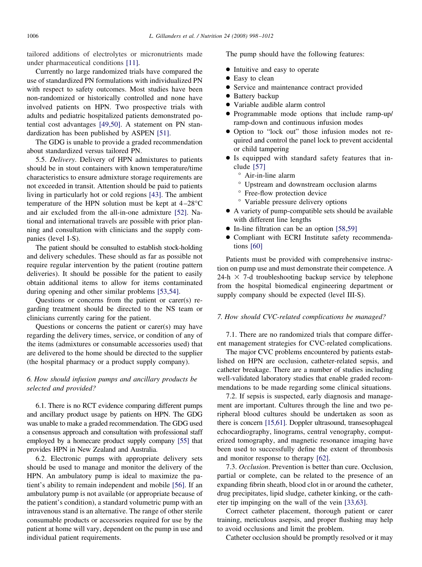tailored additions of electrolytes or micronutrients made under pharmaceutical conditions [\[11\].](#page-12-0)

Currently no large randomized trials have compared the use of standardized PN formulations with individualized PN with respect to safety outcomes. Most studies have been non-randomized or historically controlled and none have involved patients on HPN. Two prospective trials with adults and pediatric hospitalized patients demonstrated potential cost advantages [\[49,50\].](#page-13-0) A statement on PN standardization has been published by ASPEN [\[51\].](#page-13-0)

The GDG is unable to provide a graded recommendation about standardized versus tailored PN.

5.5. *Delivery*. Delivery of HPN admixtures to patients should be in stout containers with known temperature/time characteristics to ensure admixture storage requirements are not exceeded in transit. Attention should be paid to patients living in particularly hot or cold regions [\[43\].](#page-13-0) The ambient temperature of the HPN solution must be kept at  $4-28^{\circ}$ C and air excluded from the all-in-one admixture [\[52\].](#page-13-0) National and international travels are possible with prior planning and consultation with clinicians and the supply companies (level I-S).

The patient should be consulted to establish stock-holding and delivery schedules. These should as far as possible not require regular intervention by the patient (routine pattern deliveries). It should be possible for the patient to easily obtain additional items to allow for items contaminated during opening and other similar problems [\[53,54\].](#page-13-0)

Questions or concerns from the patient or carer(s) regarding treatment should be directed to the NS team or clinicians currently caring for the patient.

Questions or concerns the patient or carer(s) may have regarding the delivery times, service, or condition of any of the items (admixtures or consumable accessories used) that are delivered to the home should be directed to the supplier (the hospital pharmacy or a product supply company).

# *6. How should infusion pumps and ancillary products be selected and provided?*

6.1. There is no RCT evidence comparing different pumps and ancillary product usage by patients on HPN. The GDG was unable to make a graded recommendation. The GDG used a consensus approach and consultation with professional staff employed by a homecare product supply company [\[55\]](#page-13-0) that provides HPN in New Zealand and Australia.

6.2. Electronic pumps with appropriate delivery sets should be used to manage and monitor the delivery of the HPN. An ambulatory pump is ideal to maximize the patient's ability to remain independent and mobile [\[56\].](#page-13-0) If an ambulatory pump is not available (or appropriate because of the patient's condition), a standard volumetric pump with an intravenous stand is an alternative. The range of other sterile consumable products or accessories required for use by the patient at home will vary, dependent on the pump in use and individual patient requirements.

The pump should have the following features:

- Intuitive and easy to operate
- Easy to clean
- Service and maintenance contract provided
- Battery backup
- Variable audible alarm control
- Programmable mode options that include ramp-up/ ramp-down and continuous infusion modes
- Option to "lock out" those infusion modes not required and control the panel lock to prevent accidental or child tampering
- Is equipped with standard safety features that include [\[57\]](#page-13-0)
	- ° Air-in-line alarm
	- ° Upstream and downstream occlusion alarms
	- ° Free-flow protection device
	- ° Variable pressure delivery options
- A variety of pump-compatible sets should be available with different line lengths
- In-line filtration can be an option [\[58,59\]](#page-13-0)
- Compliant with ECRI Institute safety recommendations [\[60\]](#page-14-0)

Patients must be provided with comprehensive instruction on pump use and must demonstrate their competence. A 24-h  $\times$  7-d troubleshooting backup service by telephone from the hospital biomedical engineering department or supply company should be expected (level III-S).

## *7. How should CVC-related complications be managed?*

7.1. There are no randomized trials that compare different management strategies for CVC-related complications.

The major CVC problems encountered by patients established on HPN are occlusion, catheter-related sepsis, and catheter breakage. There are a number of studies including well-validated laboratory studies that enable graded recommendations to be made regarding some clinical situations.

7.2. If sepsis is suspected, early diagnosis and management are important. Cultures through the line and two peripheral blood cultures should be undertaken as soon as there is concern [\[15,61\].](#page-13-0) Doppler ultrasound, transesophageal echocardiography, linograms, central venography, computerized tomography, and magnetic resonance imaging have been used to successfully define the extent of thrombosis and monitor response to therapy [\[62\].](#page-14-0)

7.3. *Occlusion*. Prevention is better than cure. Occlusion, partial or complete, can be related to the presence of an expanding fibrin sheath, blood clot in or around the catheter, drug precipitates, lipid sludge, catheter kinking, or the catheter tip impinging on the wall of the vein [\[33,63\].](#page-13-0)

Correct catheter placement, thorough patient or carer training, meticulous asepsis, and proper flushing may help to avoid occlusions and limit the problem.

Catheter occlusion should be promptly resolved or it may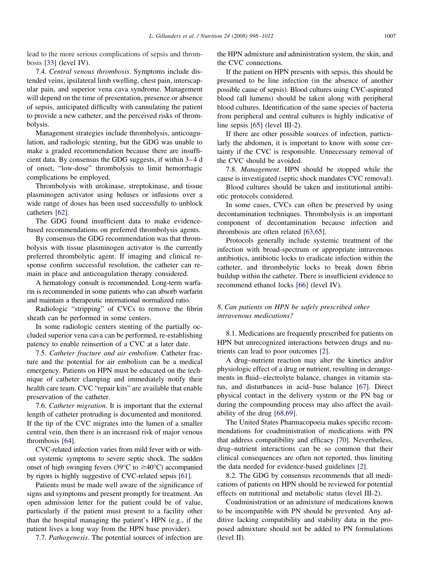lead to the more serious complications of sepsis and thrombosis [\[33\]](#page-13-0) (level IV).

7.4. *Central venous thrombosis*. Symptoms include distended veins, ipsilateral limb swelling, chest pain, interscapular pain, and superior vena cava syndrome. Management will depend on the time of presentation, presence or absence of sepsis, anticipated difficulty with cannulating the patient to provide a new catheter, and the perceived risks of thrombolysis.

Management strategies include thrombolysis, anticoagulation, and radiologic stenting, but the GDG was unable to make a graded recommendation because there are insufficient data. By consensus the GDG suggests, if within 3– 4 d of onset, "low-dose" thrombolysis to limit hemorrhagic complications be employed.

Thrombolysis with urokinase, streptokinase, and tissue plasminogen activator using boluses or infusions over a wide range of doses has been used successfully to unblock catheters [\[62\].](#page-14-0)

The GDG found insufficient data to make evidencebased recommendations on preferred thrombolysis agents.

By consensus the GDG recommendation was that thrombolysis with tissue plasminogen activator is the currently preferred thrombolytic agent. If imaging and clinical response confirm successful resolution, the catheter can remain in place and anticoagulation therapy considered.

A hematology consult is recommended. Long-term warfarin is recommended in some patients who can absorb warfarin and maintain a therapeutic international normalized ratio.

Radiologic "stripping" of CVCs to remove the fibrin sheath can be performed in some centers.

In some radiologic centers stenting of the partially occluded superior vena cava can be performed, re-establishing patency to enable reinsertion of a CVC at a later date.

7.5. *Catheter fracture and air embolism*. Catheter fracture and the potential for air embolism can be a medical emergency. Patients on HPN must be educated on the technique of catheter clamping and immediately notify their health care team. CVC "repair kits" are available that enable preservation of the catheter.

7.6. *Catheter migration*. It is important that the external length of catheter protruding is documented and monitored. If the tip of the CVC migrates into the lumen of a smaller central vein, then there is an increased risk of major venous thrombosis [\[64\].](#page-14-0)

CVC-related infection varies from mild fever with or without systemic symptoms to severe septic shock. The sudden onset of high swinging fevers (39 $\degree$ C to  $\geq$ 40 $\degree$ C) accompanied by rigors is highly suggestive of CVC-related sepsis [\[61\].](#page-14-0)

Patients must be made well aware of the significance of signs and symptoms and present promptly for treatment. An open admission letter for the patient could be of value, particularly if the patient must present to a facility other than the hospital managing the patient's HPN (e.g., if the patient lives a long way from the HPN base provider).

7.7. *Pathogenesis*. The potential sources of infection are

the HPN admixture and administration system, the skin, and the CVC connections.

If the patient on HPN presents with sepsis, this should be presumed to be line infection (in the absence of another possible cause of sepsis). Blood cultures using CVC-aspirated blood (all lumens) should be taken along with peripheral blood cultures. Identification of the same species of bacteria from peripheral and central cultures is highly indicative of line sepsis [\[65\]](#page-14-0) (level III-2).

If there are other possible sources of infection, particularly the abdomen, it is important to know with some certainty if the CVC is responsible. Unnecessary removal of the CVC should be avoided.

7.8. *Management*. HPN should be stopped while the cause is investigated (septic shock mandates CVC removal).

Blood cultures should be taken and institutional antibiotic protocols considered.

In some cases, CVCs can often be preserved by using decontamination techniques. Thrombolysis is an important component of decontamination because infection and thrombosis are often related [\[63,65\].](#page-14-0)

Protocols generally include systemic treatment of the infection with broad-spectrum or appropriate intravenous antibiotics, antibiotic locks to eradicate infection within the catheter, and thrombolytic locks to break down fibrin buildup within the catheter. There is insufficient evidence to recommend ethanol locks [\[66\]](#page-14-0) (level IV).

# *8. Can patients on HPN be safely prescribed other intravenous medications?*

8.1. Medications are frequently prescribed for patients on HPN but unrecognized interactions between drugs and nutrients can lead to poor outcomes [\[2\].](#page-13-0)

A drug–nutrient reaction may alter the kinetics and/or physiologic effect of a drug or nutrient, resulting in derangements in fluid– electrolyte balance, changes in vitamin status, and disturbances in acid– base balance [\[67\].](#page-14-0) Direct physical contact in the delivery system or the PN bag or during the compounding process may also affect the availability of the drug [\[68,69\].](#page-14-0)

The United States Pharmacopoeia makes specific recommendations for coadministration of medications with PN that address compatibility and efficacy [[70\].](#page-14-0) Nevertheless, drug–nutrient interactions can be so common that their clinical consequences are often not reported, thus limiting the data needed for evidence-based guidelines [\[2\].](#page-12-0)

8.2. The GDG by consensus recommends that all medications of patients on HPN should be reviewed for potential effects on nutritional and metabolic status (level III-2).

Coadministration or an admixture of medications known to be incompatible with PN should be prevented. Any additive lacking compatibility and stability data in the proposed admixture should not be added to PN formulations (level II).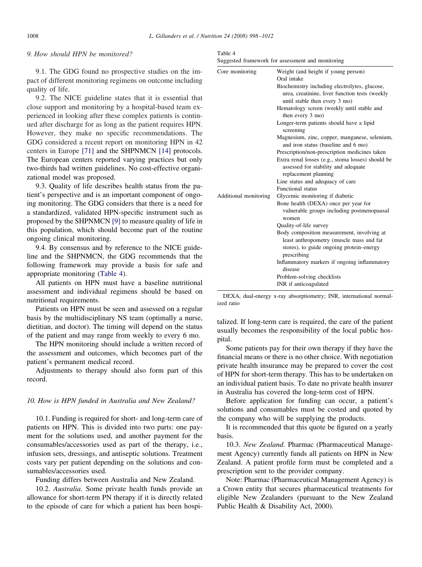# *9. How should HPN be monitored?*

9.1. The GDG found no prospective studies on the impact of different monitoring regimens on outcome including quality of life.

9.2. The NICE guideline states that it is essential that close support and monitoring by a hospital-based team experienced in looking after these complex patients is continued after discharge for as long as the patient requires HPN. However, they make no specific recommendations. The GDG considered a recent report on monitoring HPN in 42 centers in Europe [\[71\]](#page-14-0) and the SHPNMCN [\[14\]](#page-13-0) protocols. The European centers reported varying practices but only two-thirds had written guidelines. No cost-effective organizational model was proposed.

9.3. Quality of life describes health status from the patient's perspective and is an important component of ongoing monitoring. The GDG considers that there is a need for a standardized, validated HPN-specific instrument such as proposed by the SHPNMCN [\[9\]](#page-12-0) to measure quality of life in this population, which should become part of the routine ongoing clinical monitoring.

9.4. By consensus and by reference to the NICE guideline and the SHPNMCN, the GDG recommends that the following framework may provide a basis for safe and appropriate monitoring (Table 4).

All patients on HPN must have a baseline nutritional assessment and individual regimens should be based on nutritional requirements.

Patients on HPN must be seen and assessed on a regular basis by the multidisciplinary NS team (optimally a nurse, dietitian, and doctor). The timing will depend on the status of the patient and may range from weekly to every 6 mo.

The HPN monitoring should include a written record of the assessment and outcomes, which becomes part of the patient's permanent medical record.

Adjustments to therapy should also form part of this record.

## *10. How is HPN funded in Australia and New Zealand?*

10.1. Funding is required for short- and long-term care of patients on HPN. This is divided into two parts: one payment for the solutions used, and another payment for the consumables/accessories used as part of the therapy, i.e., infusion sets, dressings, and antiseptic solutions. Treatment costs vary per patient depending on the solutions and consumables/accessories used.

Funding differs between Australia and New Zealand.

10.2. *Australia*. Some private health funds provide an allowance for short-term PN therapy if it is directly related to the episode of care for which a patient has been hospi-

| Table 4                                           |  |
|---------------------------------------------------|--|
| Suggested framework for assessment and monitoring |  |

| Core monitoring       | Weight (and height if young person)                 |
|-----------------------|-----------------------------------------------------|
|                       | Oral intake                                         |
|                       | Biochemistry including electrolytes, glucose,       |
|                       | urea, creatinine, liver function tests (weekly      |
|                       | until stable then every 3 mo)                       |
|                       | Hematology screen (weekly until stable and          |
|                       | then every 3 mo)                                    |
|                       | Longer-term patients should have a lipid            |
|                       | screening                                           |
|                       | Magnesium, zinc, copper, manganese, selenium,       |
|                       | and iron status (baseline and 6 mo)                 |
|                       | Prescription/non-prescription medicines taken       |
|                       | Extra renal losses (e.g., stoma losses) should be   |
|                       | assessed for stability and adequate                 |
|                       | replacement planning                                |
|                       | Line status and adequacy of care                    |
|                       | <b>Functional</b> status                            |
| Additional monitoring | Glycemic monitoring if diabetic                     |
|                       | Bone health (DEXA) once per year for                |
|                       | vulnerable groups including postmenopausal<br>women |
|                       | Quality-of-life survey                              |
|                       | Body composition measurement, involving at          |
|                       | least anthropometry (muscle mass and fat            |
|                       | stores), to guide ongoing protein-energy            |
|                       | prescribing                                         |
|                       | Inflammatory markers if ongoing inflammatory        |
|                       | disease                                             |
|                       | Problem-solving checklists                          |
|                       | INR if anticoagulated                               |

DEXA, dual-energy x-ray absorptiometry; INR, international normalized ratio

talized. If long-term care is required, the care of the patient usually becomes the responsibility of the local public hospital.

Some patients pay for their own therapy if they have the financial means or there is no other choice. With negotiation private health insurance may be prepared to cover the cost of HPN for short-term therapy. This has to be undertaken on an individual patient basis. To date no private health insurer in Australia has covered the long-term cost of HPN.

Before application for funding can occur, a patient's solutions and consumables must be costed and quoted by the company who will be supplying the products.

It is recommended that this quote be figured on a yearly basis.

10.3. *New Zealand*. Pharmac (Pharmaceutical Management Agency) currently funds all patients on HPN in New Zealand. A patient profile form must be completed and a prescription sent to the provider company.

Note: Pharmac (Pharmaceutical Management Agency) is a Crown entity that secures pharmaceutical treatments for eligible New Zealanders (pursuant to the New Zealand Public Health & Disability Act, 2000).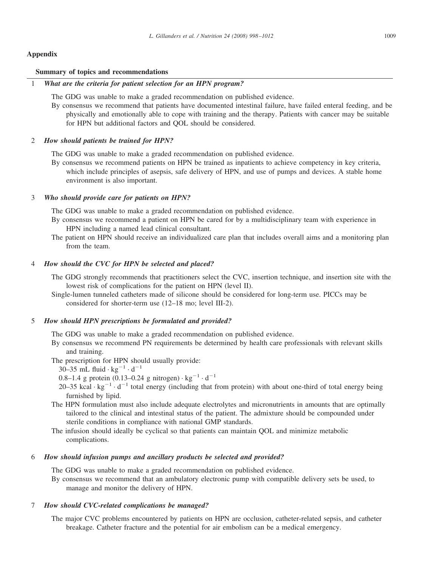# **Appendix**

# **Summary of topics and recommendations**

# 1 *What are the criteria for patient selection for an HPN program?*

The GDG was unable to make a graded recommendation on published evidence.

By consensus we recommend that patients have documented intestinal failure, have failed enteral feeding, and be physically and emotionally able to cope with training and the therapy. Patients with cancer may be suitable for HPN but additional factors and QOL should be considered.

## 2 *How should patients be trained for HPN?*

The GDG was unable to make a graded recommendation on published evidence.

By consensus we recommend patients on HPN be trained as inpatients to achieve competency in key criteria, which include principles of asepsis, safe delivery of HPN, and use of pumps and devices. A stable home environment is also important.

#### 3 *Who should provide care for patients on HPN?*

The GDG was unable to make a graded recommendation on published evidence.

- By consensus we recommend a patient on HPN be cared for by a multidisciplinary team with experience in HPN including a named lead clinical consultant.
- The patient on HPN should receive an individualized care plan that includes overall aims and a monitoring plan from the team.

# 4 *How should the CVC for HPN be selected and placed?*

The GDG strongly recommends that practitioners select the CVC, insertion technique, and insertion site with the lowest risk of complications for the patient on HPN (level II).

Single-lumen tunneled catheters made of silicone should be considered for long-term use. PICCs may be considered for shorter-term use (12–18 mo; level III-2).

## 5 *How should HPN prescriptions be formulated and provided?*

The GDG was unable to make a graded recommendation on published evidence.

- By consensus we recommend PN requirements be determined by health care professionals with relevant skills and training.
- The prescription for HPN should usually provide:
	- 30–35 mL fluid ·  $kg^{-1} \cdot d^{-1}$
	- 0.8–1.4 g protein (0.13–0.24 g nitrogen)  $\cdot$  kg<sup>-1</sup>  $\cdot$  d<sup>-1</sup>
	- 20–35 kcal ·  $kg^{-1} \cdot d^{-1}$  total energy (including that from protein) with about one-third of total energy being furnished by lipid.
- The HPN formulation must also include adequate electrolytes and micronutrients in amounts that are optimally tailored to the clinical and intestinal status of the patient. The admixture should be compounded under sterile conditions in compliance with national GMP standards.
- The infusion should ideally be cyclical so that patients can maintain QOL and minimize metabolic complications.

# 6 *How should infusion pumps and ancillary products be selected and provided?*

The GDG was unable to make a graded recommendation on published evidence.

By consensus we recommend that an ambulatory electronic pump with compatible delivery sets be used, to manage and monitor the delivery of HPN.

## 7 *How should CVC-related complications be managed?*

The major CVC problems encountered by patients on HPN are occlusion, catheter-related sepsis, and catheter breakage. Catheter fracture and the potential for air embolism can be a medical emergency.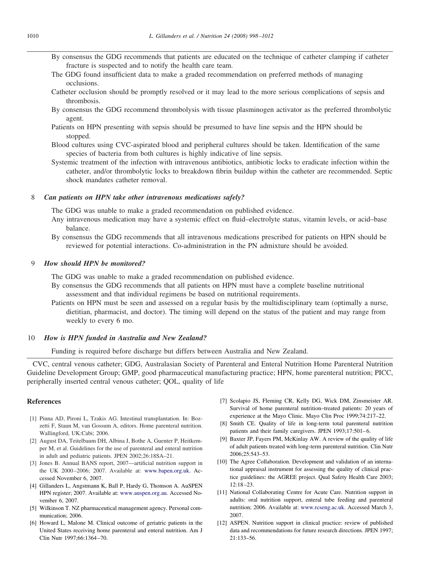- <span id="page-12-0"></span>By consensus the GDG recommends that patients are educated on the technique of catheter clamping if catheter fracture is suspected and to notify the health care team.
- The GDG found insufficient data to make a graded recommendation on preferred methods of managing occlusions.
- Catheter occlusion should be promptly resolved or it may lead to the more serious complications of sepsis and thrombosis.
- By consensus the GDG recommend thrombolysis with tissue plasminogen activator as the preferred thrombolytic agent.
- Patients on HPN presenting with sepsis should be presumed to have line sepsis and the HPN should be stopped.
- Blood cultures using CVC-aspirated blood and peripheral cultures should be taken. Identification of the same species of bacteria from both cultures is highly indicative of line sepsis.
- Systemic treatment of the infection with intravenous antibiotics, antibiotic locks to eradicate infection within the catheter, and/or thrombolytic locks to breakdown fibrin buildup within the catheter are recommended. Septic shock mandates catheter removal.

# 8 *Can patients on HPN take other intravenous medications safely?*

The GDG was unable to make a graded recommendation on published evidence.

- Any intravenous medication may have a systemic effect on fluid–electrolyte status, vitamin levels, or acid–base balance.
- By consensus the GDG recommends that all intravenous medications prescribed for patients on HPN should be reviewed for potential interactions. Co-administration in the PN admixture should be avoided.

# 9 *How should HPN be monitored?*

The GDG was unable to make a graded recommendation on published evidence.

- By consensus the GDG recommends that all patients on HPN must have a complete baseline nutritional assessment and that individual regimens be based on nutritional requirements.
- Patients on HPN must be seen and assessed on a regular basis by the multidisciplinary team (optimally a nurse, dietitian, pharmacist, and doctor). The timing will depend on the status of the patient and may range from weekly to every 6 mo.

#### 10 *How is HPN funded in Australia and New Zealand?*

Funding is required before discharge but differs between Australia and New Zealand.

CVC, central venous catheter; GDG, Australasian Society of Parenteral and Enteral Nutrition Home Parenteral Nutrition Guideline Development Group; GMP, good pharmaceutical manufacturing practice; HPN, home parenteral nutrition; PICC, peripherally inserted central venous catheter; QOL, quality of life

# **References**

- [1] Pinna AD, Pironi L, Tzakis AG. Intestinal transplantation. In: Bozzetti F, Staun M, van Gossum A, editors. Home parenteral nutrition. Wallingford, UK:Cabi; 2006.
- [2] August DA, Teitelbaum DH, Albina J, Bothe A, Guenter P, Heitkemper M, et al. Guidelines for the use of parenteral and enteral nutrition in adult and pediatric patients. JPEN 2002;26:18SA–21.
- [3] Jones B. Annual BANS report, 2007—artificial nutrition support in the UK 2000-2006; 2007. Available at: [www.bapen.org.uk.](http://www.bapen.org.uk) Accessed November 6, 2007.
- [4] Gillanders L, Angstmann K, Ball P, Hardy G, Thomson A. AuSPEN HPN register; 2007. Available at: [www.auspen.org.au.](http://www.auspen.org.au) Accessed November 6, 2007.
- [5] Wilkinson T. NZ pharmaceutical management agency. Personal communication; 2006.
- [6] Howard L, Malone M. Clinical outcome of geriatric patients in the United States receiving home parenteral and enteral nutrition. Am J Clin Nutr 1997;66:1364 –70.
- [7] Scolapio JS, Fleming CR, Kelly DG, Wick DM, Zinsmeister AR. Survival of home parenteral nutrition–treated patients: 20 years of experience at the Mayo Clinic. Mayo Clin Proc 1999;74:217–22.
- [8] Smith CE. Quality of life in long-term total parenteral nutrition patients and their family caregivers. JPEN 1993;17:501-6.
- [9] Baxter JP, Fayers PM, McKinlay AW. A review of the quality of life of adult patients treated with long-term parenteral nutrition. Clin Nutr 2006;25:543–53.
- [10] The Agree Collaboration. Development and validation of an international appraisal instrument for assessing the quality of clinical practice guidelines: the AGREE project. Qual Safety Health Care 2003; 12:18 –23.
- [11] National Collaborating Centre for Acute Care. Nutrition support in adults: oral nutrition support, enteral tube feeding and parenteral nutrition; 2006. Available at: [www.rcseng.ac.uk.](http://www.rcseng.ac.uk) Accessed March 3, 2007.
- [12] ASPEN. Nutrition support in clinical practice: review of published data and recommendations for future research directions. JPEN 1997; 21:133–56.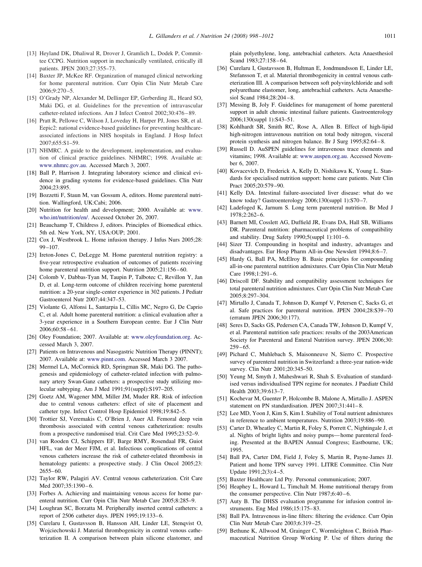- <span id="page-13-0"></span>[13] Heyland DK, Dhaliwal R, Drover J, Gramlich L, Dodek P, Committee CCPG. Nutrition support in mechanically ventilated, critically ill patients. JPEN 2003;27:355–73.
- [14] Baxter JP, McKee RF. Organization of managed clinical networking for home parenteral nutrition. Curr Opin Clin Nutr Metab Care 2006;9:270 –5.
- [15] O'Grady NP, Alexander M, Dellinger EP, Gerberding JL, Heard SO, Maki DG, et al. Guidelines for the prevention of intravascular catheter-related infections. Am J Infect Control 2002;30:476 – 89.
- [16] Pratt R, Pellowe C, Wilson J, Loveday H, Harper PJ, Jones SR, et al. Eepic2: national evidence-based guidelines for preventing healthcareassociated infections in NHS hospitals in England. J Hosp Infect 2007;655:S1–59.
- [17] NHMRC. A guide to the development, implementation, and evaluation of clinical practice guidelines. NHMRC; 1998. Available at: [www.nhmrc.gov.au.](http://www.nhmrc.gov.au) Accessed March 3, 2007.
- [18] Ball P, Harrison J. Integrating laboratory science and clinical evidence in grading systems for evidence-based guidelines. Clin Nutr 2004;23:895.
- [19] Bozzetti F, Staun M, van Gossum A, editors. Home parenteral nutrition. Wallingford, UK:Cabi; 2006.
- [20] Nutrition for health and development; 2000. Available at: [www.](http://www.who.int/nutrition/en/) [who.int/nutrition/en/.](http://www.who.int/nutrition/en/) Accessed October 26, 2007.
- [21] Beauchamp T, Childress J, editors. Principles of Biomedical ethics. 5th ed. New York, NY, USA:OUP; 2001.
- [22] Cox J, Westbrook L. Home infusion therapy. J Infus Nurs 2005;28: 99 –107.
- [23] Ireton-Jones C, DeLegge M. Home parenteral nutrition registry: a five-year retrospective evaluation of outcomes of patients receiving home parenteral nutrition support. Nutrition 2005;21:156-60.
- [24] Colomb V, Dabbas-Tyan M, Taupin P, Talbotec C, Revillon Y, Jan D, et al. Long-term outcome of children receiving home parenteral nutrition: a 20-year single-center experience in 302 patients. J Pediatr Gastroenterol Nutr 2007;44:347–53.
- [25] Violante G, Alfonsi L, Santarpia L, Cillis MC, Negro G, De Caprio C, et al. Adult home parenteral nutrition: a clinical evaluation after a 3-year experience in a Southern European centre. Eur J Clin Nutr 2006;60:58 – 61.
- [26] Oley Foundation; 2007. Available at: [www.oleyfoundation.org.](http://www.oleyfoundation.org) Accessed March 3, 2007.
- [27] Patients on Intravenous and Nasogastric Nutrition Therapy (PINNT); 2007. Available at: [www.pinnt.com.](http://www.pinnt.com) Accessed March 3 2007.
- [28] Mermel LA, McCormick RD, Springman SR, Maki DG. The pathogenesis and epidemiology of catheter-related infection with pulmonary artery Swan-Ganz catheters: a prospective study utilizing molecular subtyping. Am J Med 1991;91(suppl):S197–205.
- [29] Goetz AM, Wagener MM, Miller JM, Muder RR. Risk of infection due to central venous catheters: effect of site of placement and catheter type. Infect Control Hosp Epidemiol 1998;19:842–5.
- [30] Trottier SJ, Veremakis C, O'Brien J, Auer AI. Femoral deep vein thrombosis associated with central venous catheterization: results from a prospective randomised trial. Crit Care Med 1995;23:52–9.
- [31] van Rooden CJ, Schippers EF, Barge RMY, Rosendaal FR, Guiot HFL, van der Meer FJM, et al. Infectious complications of central venous catheters increase the risk of catheter-related thrombosis in hematology patients: a prospective study. J Clin Oncol 2005;23:  $2655 - 60.$
- [32] Taylor RW, Palagiri AV. Central venous catheterization. Crit Care Med 2007;35:1390-6.
- [33] Forbes A. Achieving and maintaining venous access for home parenteral nutrition. Curr Opin Clin Nutr Metab Care 2005;8:285–9.
- [34] Loughran SC, Borzatta M. Peripherally inserted central catheters: a report of 2506 catheter days. JPEN 1995;19:133-6.
- [35] Curelaru I, Gustavsson B, Hansson AH, Linder LE, Stenqvist O, Wojciechowski J. Material thrombogenicity in central venous catheterization II. A comparison between plain silicone elastomer, and

plain polyethylene, long, antebrachial catheters. Acta Anaesthesiol Scand 1983;27:158-64.

- [36] Curelaru I, Gustavsson B, Hultman E, Jondmundsson E, Linder LE, Stefansson T, et al. Material thrombogenicity in central venous catheterization III. A comparison between soft polyvinylchloride and soft polyurethane elastomer, long, antebrachial catheters. Acta Anaesthesiol Scand 1984;28:204 – 8.
- [37] Messing B, Joly F. Guidelines for management of home parenteral support in adult chronic intestinal failure patients. Gastroenterology 2006;130(suppl 1):S43–51.
- [38] Kohlhardt SR, Smith RC, Rose A, Allen B. Effect of high-lipid high-nitrogen intravenous nutrition on total body nitrogen, visceral protein synthesis and nitrogen balance. Br J Surg 1995;82:64 – 8.
- [39] Russell D. AuSPEN guidelines for intravenous trace elements and vitamins; 1998. Available at: [www.auspen.org.au.](http://www.auspen.org.au) Accessed November 6, 2007.
- [40] Kovacevich D, Frederick A, Kelly D, Nishikawa K, Young L. Standards for specialised nutrition support: home care patients. Nutr Clin Pract 2005;20:579 –90.
- [41] Kelly DA. Intestinal failure-associated liver disease: what do we know today? Gastroenterology 2006;130(suppl 1):S70-7.
- [42] Ladefoged K, Jarnum S. Long term parenteral nutrition. Br Med J 1978;2:262– 6.
- [43] Barnett MI, Cosslett AG, Duffield JR, Evans DA, Hall SB, Williams DR. Parenteral nutrition: pharmaceutical problems of compatibility and stability. Drug Safety  $1990;5$ (suppl  $1$ ): $101-6$ .
- [44] Sizer TJ. Compounding in hospital and industry, advantages and disadvantages. Eur Hosp Pharm All-in-One Newslett 1994;8:6 –7.
- [45] Hardy G, Ball PA, McElroy B. Basic principles for compounding all-in-one parenteral nutrition admixtures. Curr Opin Clin Nutr Metab Care 1998;1:291-6.
- [46] Driscoll DF. Stability and compatibility assessment techniques for total parenteral nutrition admixtures. Curr Opin Clin Nutr Metab Care 2005;8:297–304.
- [47] Mirtallo J, Canada T, Johnson D, Kumpf V, Petersen C, Sacks G, et al. Safe practices for parenteral nutrition. JPEN 2004;28:S39 –70 (erratum JPEN 2006;30:177).
- [48] Seres D, Sacks GS, Pedersen CA, Canada TW, Johnson D, Kumpf V, et al. Parenteral nutrition safe practices: results of the 2003American Society for Parenteral and Enteral Nutrition survey. JPEN 2006;30:  $259 - 65$ .
- [49] Pichard C, Muhlebach S, Maisonneuve N, Sierro C. Prospective survey of parenteral nutrition in Switzerland: a three-year nation-wide survey. Clin Nutr 2001;20:345–50.
- [50] Yeung M, Smyth J, Maheshwari R, Shah S. Evaluation of standardised versus individualised TPN regime for neonates. J Paediatr Child Health 2003;39:613–7.
- [51] Kochevar M, Guenter P, Holcombe B, Malone A, Mirtallo J. ASPEN statement on PN standardisation. JPEN 2007;31:441-8.
- [52] Lee MD, Yoon J, Kim S, Kim I. Stability of Total nutrient admixtures in reference to ambient temperatures. Nutrition 2003;19:886 –90.
- [53] Carter D, Wheatley C, Martin R, Foley S, Porrett C, Nightingale J, et al. Nights of bright lights and noisy pumps— home parenteral feeding. Presented at the BAPEN Annual Congress; Eastbourne, UK; 1995.
- [54] Ball PA, Carter DM, Field J, Foley S, Martin R, Payne-James JJ. Patient and home TPN survey 1991. LITRE Committee. Clin Nutr Update 1991;2(3):4 –5.
- [55] Baxter Healthcare Ltd Pty. Personal communication; 2007.
- [56] Heaphey L, Howard L, Timchalt M. Home nutritional therapy from the consumer perspective. Clin Nutr 1987;6:40-6.
- [57] Auty B. The DHSS evaluation programme for infusion control instruments. Eng Med 1986;15:175– 83.
- [58] Ball PA. Intravenous in-line filters: filtering the evidence. Curr Opin Clin Nutr Metab Care 2003;6:319 –25.
- [59] Bethune K, Allwood M, Grainger C, Wormleighton C, British Pharmaceutical Nutrition Group Working P. Use of filters during the